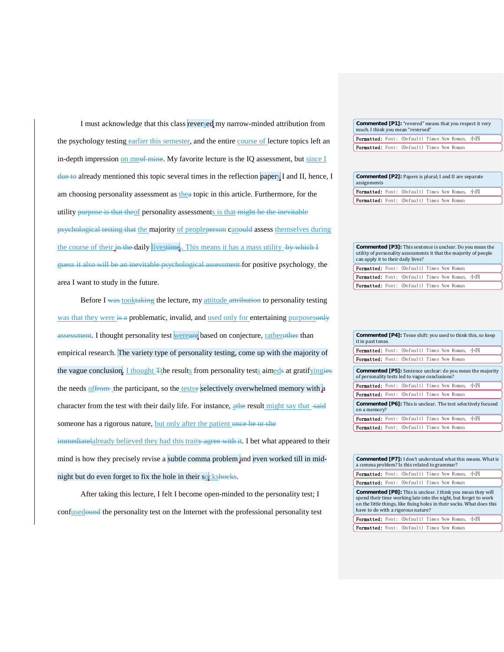I must acknowledge that this class reversed my narrow-minded attribution from the psychology testing earlier this semester, and the entire course of lecture topics left an in-depth impression on meet mine. My favorite lecture is the IQ assessment, but since  $I$ due to already mentioned this topic several times in the reflection papers I and II, hence, I am choosing personality assessment as thea topic in this article. Furthermore, for the utility purpose is that theof personality assessments is that might be the inevitable psychological testing that the majority of peopleperson canould assess themselves during the course of their in the daily livestime. This means it has a mass utility by which I guess it also will be an inevitable psychological assessment for positive psychology, the area I want to study in the future.

Before I was tooktaking the lecture, my attitude attribution to personality testing was that they were is a problematic, invalid, and used only for entertaining purposes assessment. I thought personality test wereare based on conjecture, ratherother than empirical research. The variety type of personality testing, come up with the majority of the vague conclusion. I thought Tthe results from personality tests aimeds at gratifyingies the needs  $off$  the participant, so the testsy selectively overwhelmed memory with a character from the test with their daily life. For instance, athe result might say that said someone has a rigorous nature, but only after the patient once he or she immediatelalready believed they had this traity agree with it. I bet what appeared to their

mind is how they precisely revise a subtle comma problem and even worked till in midnight but do even forget to fix the hole in their sockshocks.

After taking this lecture, I felt I become open-minded to the personality test; I confusedound the personality test on the Internet with the professional personality test

| Commented [P1]: "revered" means that you respect it very<br>much. I think you mean "reversed" |  |  |  |  |  |  |
|-----------------------------------------------------------------------------------------------|--|--|--|--|--|--|
| Y Formatted: Font: (Default) Times New Roman, 小四                                              |  |  |  |  |  |  |
| <b>Formatted:</b> Font: (Default) Times New Roman                                             |  |  |  |  |  |  |

| $\sim$ Commented [P2]: Papers is plural; I and II are separate<br>assignments |  |  |  |  |  |  |
|-------------------------------------------------------------------------------|--|--|--|--|--|--|
| Y Formatted: Font: (Default) Times New Roman, 小四                              |  |  |  |  |  |  |
| <b>Y Formatted:</b> Font: (Default) Times New Roman                           |  |  |  |  |  |  |

| <b>Commented [P3]:</b> This sentence is unclear. Do you mean the<br>utility of personality assessments it that the majority of people<br>can apply it to their daily lives? |  |  |  |  |                                                |  |  |
|-----------------------------------------------------------------------------------------------------------------------------------------------------------------------------|--|--|--|--|------------------------------------------------|--|--|
| Formatted: Font: (Default) Times New Roman                                                                                                                                  |  |  |  |  |                                                |  |  |
|                                                                                                                                                                             |  |  |  |  | Formatted: Font: (Default) Times New Roman, 小四 |  |  |
| Formatted: Font: (Default) Times New Roman                                                                                                                                  |  |  |  |  |                                                |  |  |

| <b>Commented [P4]:</b> Tense shift: you used to think this, so keep<br>it in past tense.                            |  |  |  |  |  |                                                                      |  |  |
|---------------------------------------------------------------------------------------------------------------------|--|--|--|--|--|----------------------------------------------------------------------|--|--|
| <b>Formatted:</b> Font: (Default) Times New Roman, 小四                                                               |  |  |  |  |  |                                                                      |  |  |
| <b>Formatted:</b> Font: (Default) Times New Roman                                                                   |  |  |  |  |  |                                                                      |  |  |
| <b>Commented [P5]:</b> Sentence unclear: do you mean the majority<br>of personality tests led to vague conclusions? |  |  |  |  |  |                                                                      |  |  |
| <b>Formatted:</b> Font: (Default) Times New Roman, 小四                                                               |  |  |  |  |  |                                                                      |  |  |
| <b>Formatted:</b> Font: (Default) Times New Roman                                                                   |  |  |  |  |  |                                                                      |  |  |
| on a memory?                                                                                                        |  |  |  |  |  | <b>Commented [P6]:</b> This is unclear. The test selectively focused |  |  |
| <b>Formatted:</b> Font: (Default) Times New Roman, 小四                                                               |  |  |  |  |  |                                                                      |  |  |
| <b>Formatted:</b> Font: (Default) Times New Roman                                                                   |  |  |  |  |  |                                                                      |  |  |

|  | <b>Commented [P7]:</b> I don't understand what this means. What is<br>a comma problem? Is this related to grammar?                                                                                                                                     |  |  |  |  |  |  |  |
|--|--------------------------------------------------------------------------------------------------------------------------------------------------------------------------------------------------------------------------------------------------------|--|--|--|--|--|--|--|
|  | <b>Formatted:</b> Font: (Default) Times New Roman, 小四                                                                                                                                                                                                  |  |  |  |  |  |  |  |
|  | <b>Formatted:</b> Font: (Default) Times New Roman                                                                                                                                                                                                      |  |  |  |  |  |  |  |
|  | <b>Commented [P8]:</b> This is unclear. I think you mean they will<br>spend their time working late into the night, but forget to work<br>on the little things, like fixing holes in their socks. What does this<br>have to do with a rigorous nature? |  |  |  |  |  |  |  |
|  | Formatted: Font: (Default) Times New Roman, 小四                                                                                                                                                                                                         |  |  |  |  |  |  |  |
|  | <b>Formatted:</b> Font: (Default) Times New Roman                                                                                                                                                                                                      |  |  |  |  |  |  |  |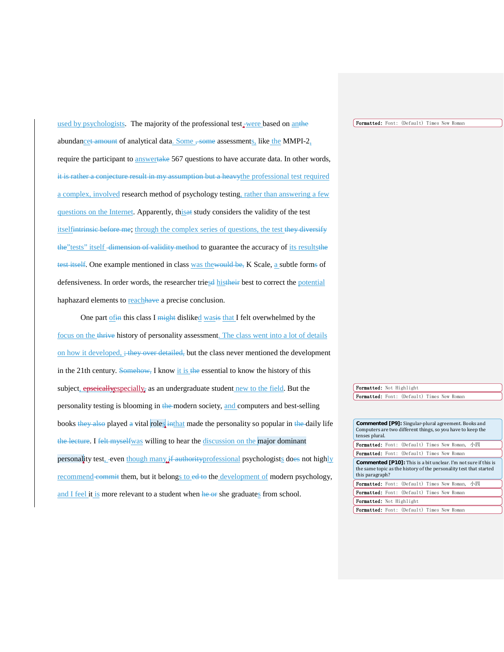used by psychologists. The majority of the professional test were based on antherabundancet amount of analytical data. Some  $\frac{1}{2}$  some assessments, like the MMPI-2, require the participant to answertake 567 questions to have accurate data. In other words, it is rather a conjecture result in my assumption but a heavythe professional test required a complex, involved research method of psychology testing, rather than answering a few questions on the Internet. Apparently, thisat study considers the validity of the test itselfintrinsic before me; through the complex series of questions, the test they diversify the"tests" itself -dimension of validity method to guarantee the accuracy of its resultsthe test itself. One example mentioned in class was thewould be, K Scale, a subtle forms of defensiveness. In order words, the researcher triesd histheir best to correct the potential haphazard elements to reachhave a precise conclusion.

One part of the this class I might disliked was is that I felt overwhelmed by the focus on the thrive history of personality assessment. The class went into a lot of details on how it developed, ; they over detailed, but the class never mentioned the development in the 21th century. Somehow, I know it is the essential to know the history of this subject, **epseically** expecially as an undergraduate student new to the field. But the personality testing is blooming in the modern society, and computers and best-selling books they also played a vital roles in that made the personality so popular in the daily life the lecture. I felt myselfwas willing to hear the discussion on the major dominant personality test, even though many if authorityprofessional psychologists does not highly recommend commit them, but it belongs to ed to the development of modern psychology, and I feel it is more relevant to a student when he or she graduates from school.

Formatted: Font: (Default) Times New Roman

Formatted: Not Highlight Formatted: Font: (Default) Times New Roman

| <b>Commented [P9]:</b> Singular-plural agreement. Books and<br>Computers are two different things, so you have to keep the<br>tenses plural.                    |  |  |  |  |  |  |  |  |
|-----------------------------------------------------------------------------------------------------------------------------------------------------------------|--|--|--|--|--|--|--|--|
| <b>Formatted:</b> Font: (Default) Times New Roman, 小四                                                                                                           |  |  |  |  |  |  |  |  |
| <b>Formatted:</b> Font: (Default) Times New Roman                                                                                                               |  |  |  |  |  |  |  |  |
| <b>Commented [P10]:</b> This is a bit unclear. I'm not sure if this is<br>the same topic as the history of the personality test that started<br>this paragraph? |  |  |  |  |  |  |  |  |
| <b>Formatted:</b> Font: (Default) Times New Roman, 小四                                                                                                           |  |  |  |  |  |  |  |  |
|                                                                                                                                                                 |  |  |  |  |  |  |  |  |
| <b>Formatted:</b> Font: (Default) Times New Roman                                                                                                               |  |  |  |  |  |  |  |  |
| <b>Formatted:</b> Not Highlight                                                                                                                                 |  |  |  |  |  |  |  |  |